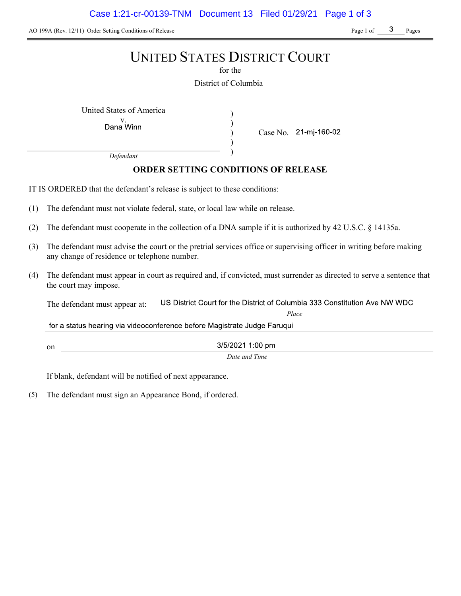AO 199A (Rev. 12/11) Order Setting Conditions of Release Page 1 of Page 1 of Pages

## UNITED STATES DISTRICT COURT

for the

District of Columbia

) ) ) )

United States of America (1992)

Dana Winn

Case No. 21-mj-160-02

Place

Defendant

## ORDER SETTING CONDITIONS OF RELEASE

IT IS ORDERED that the defendant's release is subject to these conditions:

- (1) The defendant must not violate federal, state, or local law while on release.
- (2) The defendant must cooperate in the collection of a DNA sample if it is authorized by 42 U.S.C. § 14135a.
- (3) The defendant must advise the court or the pretrial services office or supervising officer in writing before making any change of residence or telephone number.
- (4) The defendant must appear in court as required and, if convicted, must surrender as directed to serve a sentence that the court may impose.

US District Court for the District of Columbia 333 Constitution Ave NW WDC The defendant must appear at:

for a status hearing via videoconference before Magistrate Judge Faruqui

on

3/5/2021 1:00 pm Date and Time

If blank, defendant will be notified of next appearance.

(5) The defendant must sign an Appearance Bond, if ordered.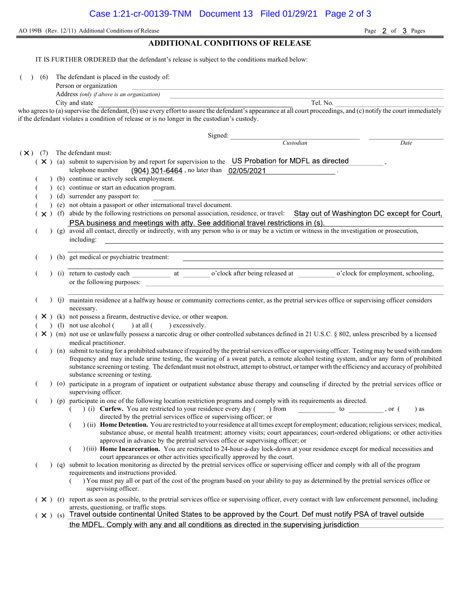AO 199B (Rev. 12/11) Additional Conditions of Release Page 2 of 3 Pages

#### ADDITIONAL CONDITIONS OF RELEASE

IT IS FURTHER ORDERED that the defendant's release is subject to the conditions marked below:

(6) The defendant is placed in the custody of:

| Person or organization |  |
|------------------------|--|
|                        |  |

Address (only if above is an organization)

City and state Tel. No. who agrees to (a) supervise the defendant, (b) use every effort to assure the defendant's appearance at all court proceedings, and (c) notify the court immediately if the defendant violates a condition of release or is no longer in the custodian's custody.

Signed: Custodian Date  $(\times)$  (7) The defendant must:  $(X)$  (a) submit to supervision by and report for supervision to the US Probation for MDFL as directed telephone number (904) 301-6464, no later than 02/05/2021 (b) continue or actively seek employment. ( ) (c) continue or start an education program. ( ) (d) surrender any passport to: ( ) (e) not obtain a passport or other international travel document.  $(\times)$  (f) abide by the following restrictions on personal association, residence, or travel: Stay out of Washington DC except for Court, PSA business and meetings with atty. See additional travel restrictions in (s). ( ) (g) avoid all contact, directly or indirectly, with any person who is or may be a victim or witness in the investigation or prosecution, including: ( ) (h) get medical or psychiatric treatment: (i) return to custody each at o'clock after being released at o'clock for employment, schooling, or the following purposes: ( ) (j) maintain residence at a halfway house or community corrections center, as the pretrial services office or supervising officer considers necessary.  $(X)$  (k) not possess a firearm, destructive device, or other weapon. (1) not use alcohol  $($  ) at all  $($  ) excessively.  $(X)$  (m) not use or unlawfully possess a narcotic drug or other controlled substances defined in 21 U.S.C. § 802, unless prescribed by a licensed medical practitioner. ( ) (n) submit to testing for a prohibited substance if required by the pretrial services office or supervising officer. Testing may be used with random frequency and may include urine testing, the wearing of a sweat patch, a remote alcohol testing system, and/or any form of prohibited substance screening or testing. The defendant must not obstruct, attempt to obstruct, or tamper with the efficiency and accuracy of prohibited substance screening or testing. ( ) (o) participate in a program of inpatient or outpatient substance abuse therapy and counseling if directed by the pretrial services office or supervising officer. ( ) (p) participate in one of the following location restriction programs and comply with its requirements as directed. ( ) (i) Curfew. You are restricted to your residence every day ( ) from to , or ( ) as directed by the pretrial services office or supervising officer; or  $($ ) (ii) Home Detention. You are restricted to your residence at all times except for employment; education; religious services; medical, substance abuse, or mental health treatment; attorney visits; court appearances; court-ordered obligations; or other activities approved in advance by the pretrial services office or supervising officer; or ( ) (iii) Home Incarceration. You are restricted to 24-hour-a-day lock-down at your residence except for medical necessities and court appearances or other activities specifically approved by the court. ( ) (q) submit to location monitoring as directed by the pretrial services office or supervising officer and comply with all of the program requirements and instructions provided. ( ) You must pay all or part of the cost of the program based on your ability to pay as determined by the pretrial services office or supervising officer.  $(X)$  (r) report as soon as possible, to the pretrial services office or supervising officer, every contact with law enforcement personnel, including arrests, questioning, or traffic stops.<br>Travel outside continental United States to be approved by the Court. Def must notify PSA of travel outside  $(\times )$  (s) the MDFL. Comply with any and all conditions as directed in the supervising jurisdiction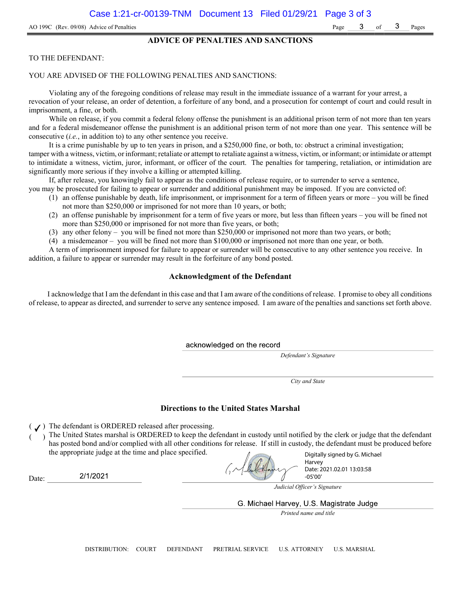#### ADVICE OF PENALTIES AND SANCTIONS

#### TO THE DEFENDANT:

#### YOU ARE ADVISED OF THE FOLLOWING PENALTIES AND SANCTIONS:

Violating any of the foregoing conditions of release may result in the immediate issuance of a warrant for your arrest, a revocation of your release, an order of detention, a forfeiture of any bond, and a prosecution for contempt of court and could result in imprisonment, a fine, or both.

While on release, if you commit a federal felony offense the punishment is an additional prison term of not more than ten years and for a federal misdemeanor offense the punishment is an additional prison term of not more than one year. This sentence will be consecutive (i.e., in addition to) to any other sentence you receive.

It is a crime punishable by up to ten years in prison, and a \$250,000 fine, or both, to: obstruct a criminal investigation; tamper with a witness, victim, or informant; retaliate or attempt to retaliate against a witness, victim, or informant; or intimidate or attempt to intimidate a witness, victim, juror, informant, or officer of the court. The penalties for tampering, retaliation, or intimidation are significantly more serious if they involve a killing or attempted killing.

If, after release, you knowingly fail to appear as the conditions of release require, or to surrender to serve a sentence, you may be prosecuted for failing to appear or surrender and additional punishment may be imposed. If you are convicted of:

- (1) an offense punishable by death, life imprisonment, or imprisonment for a term of fifteen years or more you will be fined not more than \$250,000 or imprisoned for not more than 10 years, or both;
- (2) an offense punishable by imprisonment for a term of five years or more, but less than fifteen years you will be fined not more than \$250,000 or imprisoned for not more than five years, or both;
- (3) any other felony you will be fined not more than \$250,000 or imprisoned not more than two years, or both;
- (4) a misdemeanor you will be fined not more than \$100,000 or imprisoned not more than one year, or both.

A term of imprisonment imposed for failure to appear or surrender will be consecutive to any other sentence you receive. In addition, a failure to appear or surrender may result in the forfeiture of any bond posted.

#### Acknowledgment of the Defendant

I acknowledge that I am the defendant in this case and that I am aware of the conditions of release. I promise to obey all conditions of release, to appear as directed, and surrender to serve any sentence imposed. I am aware of the penalties and sanctions set forth above.

acknowledged on the record

Defendant's Signature

City and State

#### Directions to the United States Marshal

 $($   $J)$  The defendant is ORDERED released after processing.

) The United States marshal is ORDERED to keep the defendant in custody until notified by the clerk or judge that the defendant has posted bond and/or complied with all other conditions for release. If still in custody, the defendant must be produced before the appropriate judge at the time and place specified.

Digitally signed by G. Michael Harvey Date: 2021.02.01 13:03:58 -05'00'

2/1/2021 Date:

Judicial Officer's Signature

G. Michael Harvey, U.S. Magistrate Judge

Printed name and title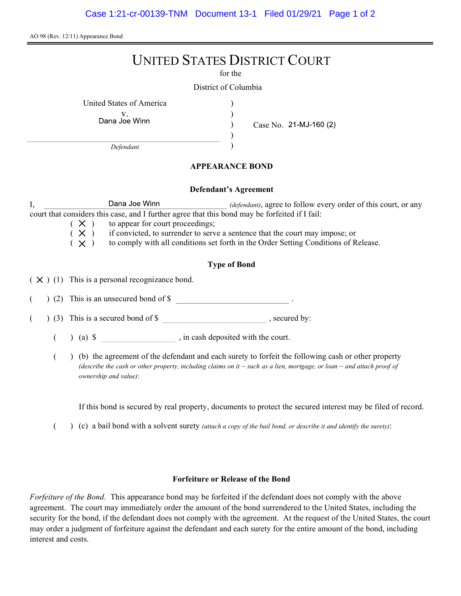AO 98 (Rev. 12/11) Appearance Bond

# UNITED STATES DISTRICT COURT

for the

) ) ) )

District of Columbia

United States of America )

v.<br>Dana Joe Winn

Case No. 21-MJ-160 (2)

Defendant

## APPEARANCE BOND

#### Defendant's Agreement

I, Dana Joe Winn *(defendant)*, agree to follow every order of this court, or any court that considers this case, and I further agree that this bond may be forfeited if I fail:

 $(X)$  to appear for court proceedings;<br> $(X)$  if convicted, to surrender to serv  $(X)$  if convicted, to surrender to serve a sentence that the court may impose; or  $(X)$  to comply with all conditions set forth in the Order Setting Conditions of R

to comply with all conditions set forth in the Order Setting Conditions of Release.

## Type of Bond

 $(X)$  (1) This is a personal recognizance bond.

(2) This is an unsecured bond of \$

 $($   $)$  (3) This is a secured bond of \$, secured by:

 $($  ) (a)  $\$  , in cash deposited with the court.

( ) (b) the agreement of the defendant and each surety to forfeit the following cash or other property (describe the cash or other property, including claims on it  $-$  such as a lien, mortgage, or loan  $-$  and attach proof of ownership and value):

If this bond is secured by real property, documents to protect the secured interest may be filed of record.

 $($  )  $(c)$  a bail bond with a solvent surety *(attach a copy of the bail bond, or describe it and identify the surety)*:

#### Forfeiture or Release of the Bond

Forfeiture of the Bond. This appearance bond may be forfeited if the defendant does not comply with the above agreement. The court may immediately order the amount of the bond surrendered to the United States, including the security for the bond, if the defendant does not comply with the agreement. At the request of the United States, the court may order a judgment of forfeiture against the defendant and each surety for the entire amount of the bond, including interest and costs.